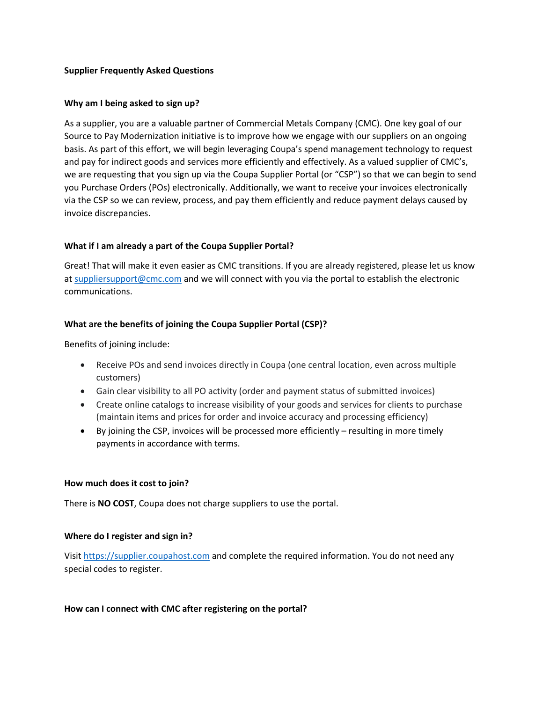### **Supplier Frequently Asked Questions**

### **Why am I being asked to sign up?**

As a supplier, you are a valuable partner of Commercial Metals Company (CMC). One key goal of our Source to Pay Modernization initiative is to improve how we engage with our suppliers on an ongoing basis. As part of this effort, we will begin leveraging Coupa's spend management technology to request and pay for indirect goods and services more efficiently and effectively. As a valued supplier of CMC's, we are requesting that you sign up via the Coupa Supplier Portal (or "CSP") so that we can begin to send you Purchase Orders (POs) electronically. Additionally, we want to receive your invoices electronically via the CSP so we can review, process, and pay them efficiently and reduce payment delays caused by invoice discrepancies.

# **What if I am already a part of the Coupa Supplier Portal?**

Great! That will make it even easier as CMC transitions. If you are already registered, please let us know at suppliersupport@cmc.com and we will connect with you via the portal to establish the electronic communications.

# **What are the benefits of joining the Coupa Supplier Portal (CSP)?**

Benefits of joining include:

- Receive POs and send invoices directly in Coupa (one central location, even across multiple customers)
- Gain clear visibility to all PO activity (order and payment status of submitted invoices)
- Create online catalogs to increase visibility of your goods and services for clients to purchase (maintain items and prices for order and invoice accuracy and processing efficiency)
- By joining the CSP, invoices will be processed more efficiently resulting in more timely payments in accordance with terms.

### **How much does it cost to join?**

There is **NO COST**, Coupa does not charge suppliers to use the portal.

### **Where do I register and sign in?**

Visit https://supplier.coupahost.com and complete the required information. You do not need any special codes to register.

### **How can I connect with CMC after registering on the portal?**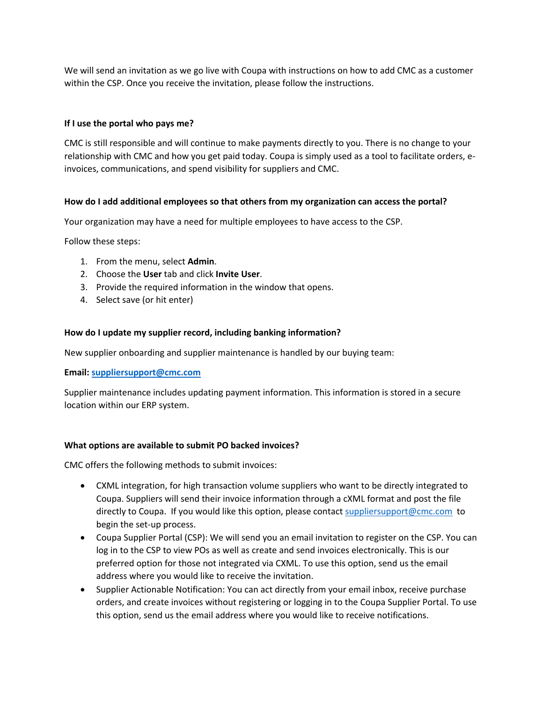We will send an invitation as we go live with Coupa with instructions on how to add CMC as a customer within the CSP. Once you receive the invitation, please follow the instructions.

### **If I use the portal who pays me?**

CMC is still responsible and will continue to make payments directly to you. There is no change to your relationship with CMC and how you get paid today. Coupa is simply used as a tool to facilitate orders, einvoices, communications, and spend visibility for suppliers and CMC.

### **How do I add additional employees so that others from my organization can access the portal?**

Your organization may have a need for multiple employees to have access to the CSP.

Follow these steps:

- 1. From the menu, select **Admin**.
- 2. Choose the **User** tab and click **Invite User**.
- 3. Provide the required information in the window that opens.
- 4. Select save (or hit enter)

### **How do I update my supplier record, including banking information?**

New supplier onboarding and supplier maintenance is handled by our buying team:

**Email: suppliersupport@cmc.com**

Supplier maintenance includes updating payment information. This information is stored in a secure location within our ERP system.

### **What options are available to submit PO backed invoices?**

CMC offers the following methods to submit invoices:

- CXML integration, for high transaction volume suppliers who want to be directly integrated to Coupa. Suppliers will send their invoice information through a cXML format and post the file directly to Coupa. If you would like this option, please contact suppliersupport@cmc.com to begin the set-up process.
- Coupa Supplier Portal (CSP): We will send you an email invitation to register on the CSP. You can log in to the CSP to view POs as well as create and send invoices electronically. This is our preferred option for those not integrated via CXML. To use this option, send us the email address where you would like to receive the invitation.
- Supplier Actionable Notification: You can act directly from your email inbox, receive purchase orders, and create invoices without registering or logging in to the Coupa Supplier Portal. To use this option, send us the email address where you would like to receive notifications.